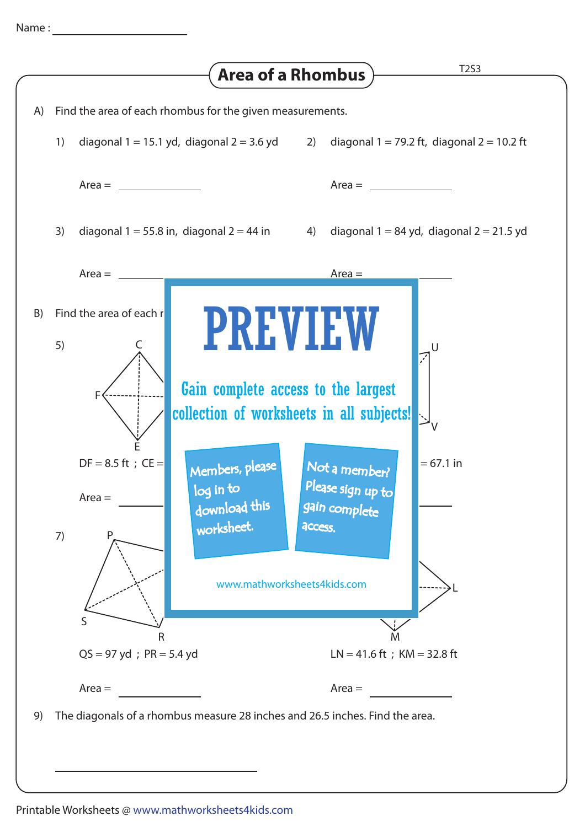